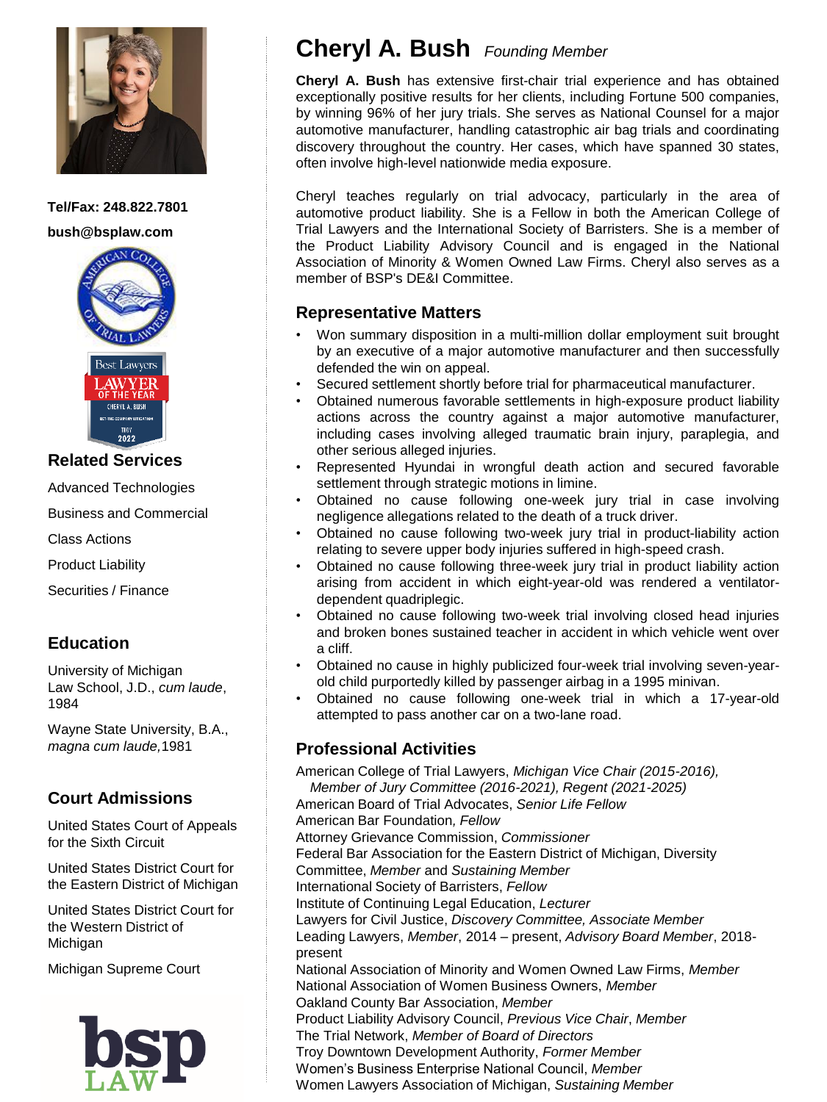

**Tel/Fax: 248.822.7801 bush@bsplaw.com**





#### **Related Services**

Advanced Technologies

Business and Commercial

Class Actions

Product Liability

Securities / Finance

## **Education**

University of Michigan Law School, J.D., *cum laude*, 1984

Wayne State University, B.A., *magna cum laude,*1981

## **Court Admissions**

United States Court of Appeals for the Sixth Circuit

United States District Court for the Eastern District of Michigan

United States District Court for the Western District of Michigan

Michigan Supreme Court



# **Cheryl A. Bush** *Founding Member*

**Cheryl A. Bush** has extensive first-chair trial experience and has obtained exceptionally positive results for her clients, including Fortune 500 companies, by winning 96% of her jury trials. She serves as National Counsel for a major automotive manufacturer, handling catastrophic air bag trials and coordinating discovery throughout the country. Her cases, which have spanned 30 states, often involve high-level nationwide media exposure.

Cheryl teaches regularly on trial advocacy, particularly in the area of automotive product liability. She is a Fellow in both the American College of Trial Lawyers and the International Society of Barristers. She is a member of the Product Liability Advisory Council and is engaged in the National Association of Minority & Women Owned Law Firms. Cheryl also serves as a member of BSP's DE&I Committee.

### **Representative Matters**

- Won summary disposition in a multi-million dollar employment suit brought by an executive of a major automotive manufacturer and then successfully defended the win on appeal.
- Secured settlement shortly before trial for pharmaceutical manufacturer.
- Obtained numerous favorable settlements in high-exposure product liability actions across the country against a major automotive manufacturer, including cases involving alleged traumatic brain injury, paraplegia, and other serious alleged injuries.
- Represented Hyundai in wrongful death action and secured favorable settlement through strategic motions in limine.
- Obtained no cause following one-week jury trial in case involving negligence allegations related to the death of a truck driver.
- Obtained no cause following two-week jury trial in product-liability action relating to severe upper body injuries suffered in high-speed crash.
- Obtained no cause following three-week jury trial in product liability action arising from accident in which eight-year-old was rendered a ventilatordependent quadriplegic.
- Obtained no cause following two-week trial involving closed head injuries and broken bones sustained teacher in accident in which vehicle went over a cliff.
- Obtained no cause in highly publicized four-week trial involving seven-yearold child purportedly killed by passenger airbag in a 1995 minivan.
- Obtained no cause following one-week trial in which a 17-year-old attempted to pass another car on a two-lane road.

### **Professional Activities**

American College of Trial Lawyers, *Michigan Vice Chair (2015-2016), Member of Jury Committee (2016-2021), Regent (2021-2025)* American Board of Trial Advocates, *Senior Life Fellow*  American Bar Foundation*, Fellow* Attorney Grievance Commission, *Commissioner* Federal Bar Association for the Eastern District of Michigan, Diversity Committee, *Member* and *Sustaining Member* International Society of Barristers, *Fellow*  Institute of Continuing Legal Education, *Lecturer* Lawyers for Civil Justice, *Discovery Committee, Associate Member* Leading Lawyers, *Member*, 2014 – present, *Advisory Board Member*, 2018 present National Association of Minority and Women Owned Law Firms, *Member* National Association of Women Business Owners, *Member* Oakland County Bar Association, *Member*  Product Liability Advisory Council, *Previous Vice Chair*, *Member* The Trial Network, *Member of Board of Directors* Troy Downtown Development Authority, *Former Member* Women's Business Enterprise National Council, *Member* Women Lawyers Association of Michigan, *Sustaining Member*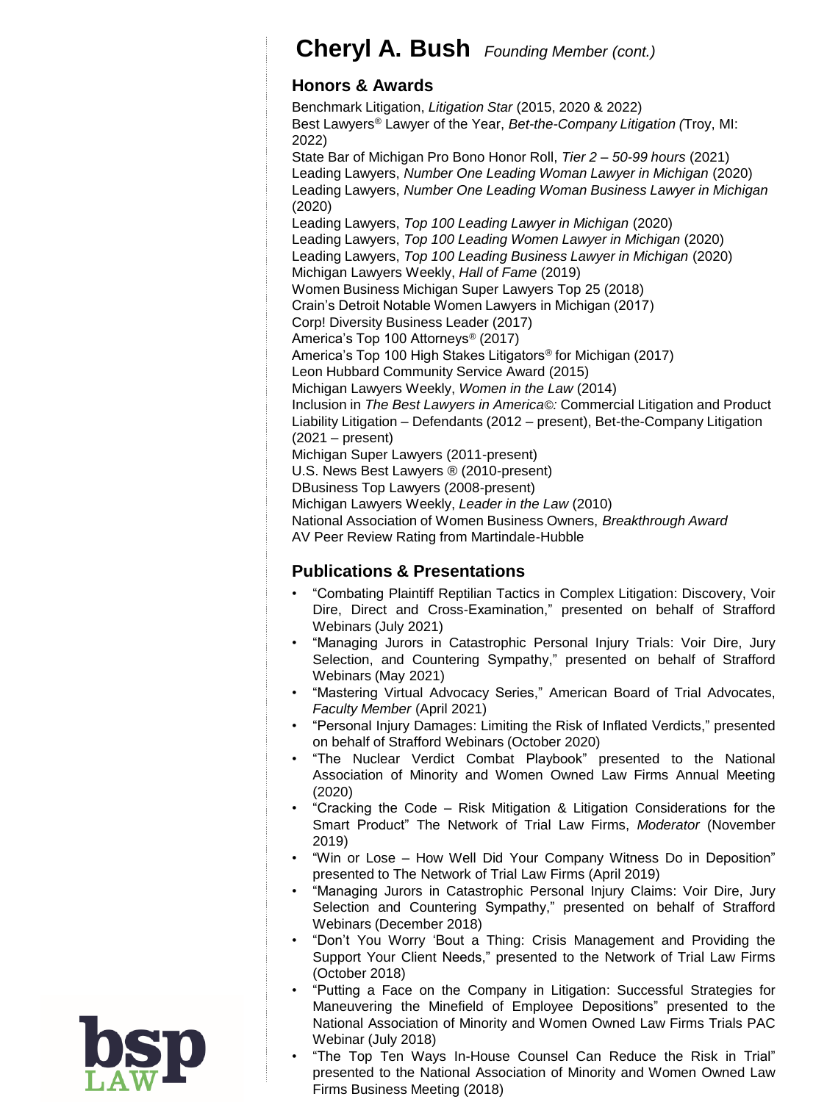# **Cheryl A. Bush** *Founding Member (cont.)*

### **Honors & Awards**

Benchmark Litigation, *Litigation Star* (2015, 2020 & 2022) Best Lawyers® Lawyer of the Year, *Bet-the-Company Litigation (*Troy, MI: 2022) State Bar of Michigan Pro Bono Honor Roll, *Tier 2 – 50-99 hours* (2021) Leading Lawyers, *Number One Leading Woman Lawyer in Michigan* (2020) Leading Lawyers, *Number One Leading Woman Business Lawyer in Michigan* (2020) Leading Lawyers, *Top 100 Leading Lawyer in Michigan* (2020) Leading Lawyers, *Top 100 Leading Women Lawyer in Michigan* (2020) Leading Lawyers, *Top 100 Leading Business Lawyer in Michigan* (2020) Michigan Lawyers Weekly, *Hall of Fame* (2019) Women Business Michigan Super Lawyers Top 25 (2018) Crain's Detroit Notable Women Lawyers in Michigan (2017) Corp! Diversity Business Leader (2017) America's Top 100 Attorneys® (2017) America's Top 100 High Stakes Litigators® for Michigan (2017) Leon Hubbard Community Service Award (2015) Michigan Lawyers Weekly, *Women in the Law* (2014) Inclusion in *The Best Lawyers in America©:* Commercial Litigation and Product Liability Litigation – Defendants (2012 – present), Bet-the-Company Litigation (2021 – present) Michigan Super Lawyers (2011-present) U.S. News Best Lawyers ® (2010-present) DBusiness Top Lawyers (2008-present) Michigan Lawyers Weekly, *Leader in the Law* (2010) National Association of Women Business Owners, *Breakthrough Award* AV Peer Review Rating from Martindale-Hubble

## **Publications & Presentations**

- "Combating Plaintiff Reptilian Tactics in Complex Litigation: Discovery, Voir Dire, Direct and Cross-Examination," presented on behalf of Strafford Webinars (July 2021)
- "Managing Jurors in Catastrophic Personal Injury Trials: Voir Dire, Jury Selection, and Countering Sympathy," presented on behalf of Strafford Webinars (May 2021)
- "Mastering Virtual Advocacy Series," American Board of Trial Advocates, *Faculty Member* (April 2021)
- "Personal Injury Damages: Limiting the Risk of Inflated Verdicts," presented on behalf of Strafford Webinars (October 2020)
- "The Nuclear Verdict Combat Playbook" presented to the National Association of Minority and Women Owned Law Firms Annual Meeting (2020)
- "Cracking the Code Risk Mitigation & Litigation Considerations for the Smart Product" The Network of Trial Law Firms, *Moderator* (November 2019)
- "Win or Lose How Well Did Your Company Witness Do in Deposition" presented to The Network of Trial Law Firms (April 2019)
- "Managing Jurors in Catastrophic Personal Injury Claims: Voir Dire, Jury Selection and Countering Sympathy," presented on behalf of Strafford Webinars (December 2018)
- "Don't You Worry 'Bout a Thing: Crisis Management and Providing the Support Your Client Needs," presented to the Network of Trial Law Firms (October 2018)
- "Putting a Face on the Company in Litigation: Successful Strategies for Maneuvering the Minefield of Employee Depositions" presented to the National Association of Minority and Women Owned Law Firms Trials PAC Webinar (July 2018)
- "The Top Ten Ways In-House Counsel Can Reduce the Risk in Trial" presented to the National Association of Minority and Women Owned Law Firms Business Meeting (2018)